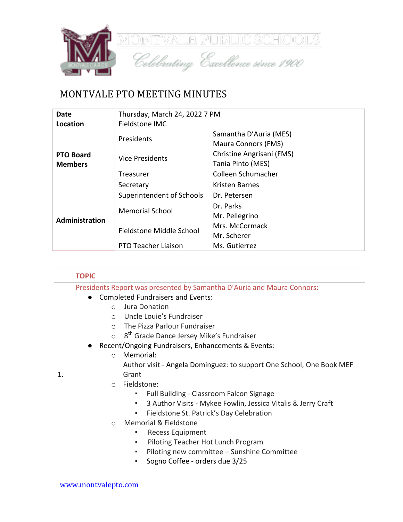

## MONTVALE PTO MEETING MINUTES

| <b>Date</b>                        | Thursday, March 24, 2022 7 PM |                                                      |
|------------------------------------|-------------------------------|------------------------------------------------------|
| Location                           | Fieldstone IMC                |                                                      |
|                                    | Presidents                    | Samantha D'Auria (MES)<br><b>Maura Connors (FMS)</b> |
| <b>PTO Board</b><br><b>Members</b> | <b>Vice Presidents</b>        | Christine Angrisani (FMS)<br>Tania Pinto (MES)       |
|                                    | Treasurer                     | Colleen Schumacher                                   |
|                                    | Secretary                     | Kristen Barnes                                       |
|                                    | Superintendent of Schools     | Dr. Petersen                                         |
| Administration                     | <b>Memorial School</b>        | Dr. Parks<br>Mr. Pellegrino                          |
|                                    | Fieldstone Middle School      | Mrs. McCormack<br>Mr. Scherer                        |
|                                    | PTO Teacher Liaison           | Ms. Gutierrez                                        |

|    | <b>TOPIC</b>                                                           |  |  |
|----|------------------------------------------------------------------------|--|--|
|    | Presidents Report was presented by Samantha D'Auria and Maura Connors: |  |  |
|    | <b>Completed Fundraisers and Events:</b><br>$\bullet$                  |  |  |
|    | Jura Donation<br>$\bigcirc$                                            |  |  |
|    | Uncle Louie's Fundraiser<br>$\circ$                                    |  |  |
|    | The Pizza Parlour Fundraiser<br>$\circ$                                |  |  |
|    | 8 <sup>th</sup> Grade Dance Jersey Mike's Fundraiser<br>$\circ$        |  |  |
|    | Recent/Ongoing Fundraisers, Enhancements & Events:                     |  |  |
|    | Memorial:<br>$\circ$                                                   |  |  |
|    | Author visit - Angela Dominguez: to support One School, One Book MEF   |  |  |
| 1. | Grant                                                                  |  |  |
|    | Fieldstone:<br>$\circ$                                                 |  |  |
|    | Full Building - Classroom Falcon Signage<br>٠                          |  |  |
|    | 3 Author Visits - Mykee Fowlin, Jessica Vitalis & Jerry Craft<br>٠     |  |  |
|    | Fieldstone St. Patrick's Day Celebration<br>٠                          |  |  |
|    | <b>Memorial &amp; Fieldstone</b><br>$\circ$                            |  |  |
|    | Recess Equipment<br>٠                                                  |  |  |
|    | Piloting Teacher Hot Lunch Program<br>٠                                |  |  |
|    | Piloting new committee - Sunshine Committee<br>٠                       |  |  |
|    | Sogno Coffee - orders due 3/25                                         |  |  |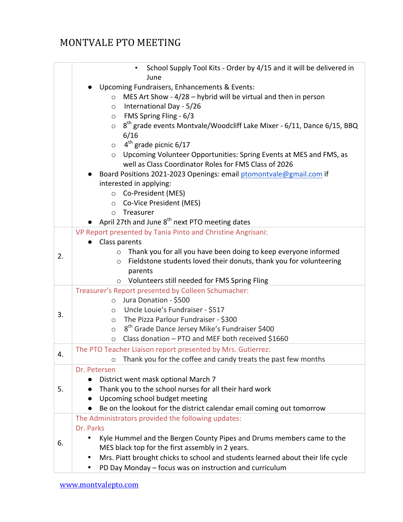## MONTVALE PTO MEETING

|    | School Supply Tool Kits - Order by 4/15 and it will be delivered in<br>٠                      |
|----|-----------------------------------------------------------------------------------------------|
|    | June                                                                                          |
|    | Upcoming Fundraisers, Enhancements & Events:                                                  |
|    | MES Art Show - 4/28 - hybrid will be virtual and then in person<br>$\circ$                    |
|    | International Day - 5/26<br>$\circ$                                                           |
|    | FMS Spring Fling - 6/3<br>$\circ$                                                             |
|    | 8 <sup>th</sup> grade events Montvale/Woodcliff Lake Mixer - 6/11, Dance 6/15, BBQ<br>$\circ$ |
|    | 6/16                                                                                          |
|    | $4th$ grade picnic 6/17<br>$\circ$                                                            |
|    | Upcoming Volunteer Opportunities: Spring Events at MES and FMS, as<br>$\circ$                 |
|    | well as Class Coordinator Roles for FMS Class of 2026                                         |
|    | Board Positions 2021-2023 Openings: email ptomontvale@gmail.com if                            |
|    | interested in applying:                                                                       |
|    | Co-President (MES)<br>$\circ$                                                                 |
|    | Co-Vice President (MES)<br>$\circ$                                                            |
|    | Treasurer<br>$\circ$                                                                          |
|    | April 27th and June 8 <sup>th</sup> next PTO meeting dates                                    |
| 2. | VP Report presented by Tania Pinto and Christine Angrisani:                                   |
|    | Class parents                                                                                 |
|    | Thank you for all you have been doing to keep everyone informed<br>$\circ$                    |
|    | Fieldstone students loved their donuts, thank you for volunteering<br>$\circ$                 |
|    | parents                                                                                       |
|    | Volunteers still needed for FMS Spring Fling<br>$\circ$                                       |
|    | Treasurer's Report presented by Colleen Schumacher:                                           |
|    | Jura Donation - \$500<br>$\circ$                                                              |
| 3. | Uncle Louie's Fundraiser - \$517<br>$\circ$                                                   |
|    | The Pizza Parlour Fundraiser - \$300<br>$\circ$                                               |
|    | 8 <sup>th</sup> Grade Dance Jersey Mike's Fundraiser \$400<br>$\circ$                         |
|    | Class donation - PTO and MEF both received \$1660<br>$\circ$                                  |
| 4. | The PTO Teacher Liaison report presented by Mrs. Gutierrez:                                   |
|    | Thank you for the coffee and candy treats the past few months<br>O                            |
|    | Dr. Petersen                                                                                  |
|    | District went mask optional March 7<br>$\bullet$                                              |
| 5. | Thank you to the school nurses for all their hard work                                        |
|    | Upcoming school budget meeting                                                                |
|    | Be on the lookout for the district calendar email coming out tomorrow                         |
|    | The Administrators provided the following updates:                                            |
|    | Dr. Parks                                                                                     |
| 6. | Kyle Hummel and the Bergen County Pipes and Drums members came to the<br>٠                    |
|    | MES black top for the first assembly in 2 years.                                              |
|    | Mrs. Piatt brought chicks to school and students learned about their life cycle<br>٠          |
|    | PD Day Monday - focus was on instruction and curriculum<br>٠                                  |
|    |                                                                                               |